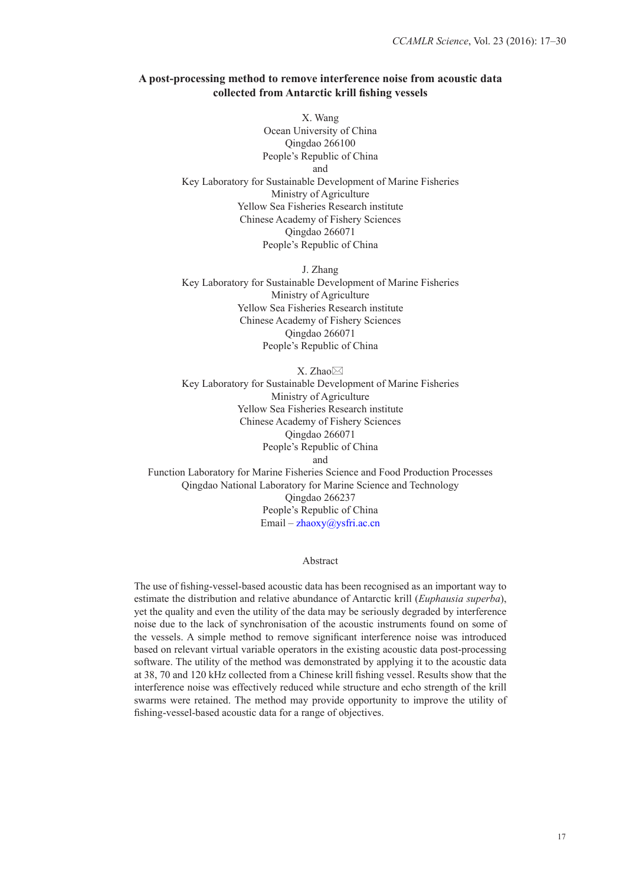# **A post-processing method to remove interference noise from acoustic data collected from Antarctic krill fishing vessels**

X. Wang Ocean University of China Qingdao 266100 People's Republic of China and Key Laboratory for Sustainable Development of Marine Fisheries Ministry of Agriculture Yellow Sea Fisheries Research institute Chinese Academy of Fishery Sciences Qingdao 266071 People's Republic of China

J. Zhang Key Laboratory for Sustainable Development of Marine Fisheries Ministry of Agriculture Yellow Sea Fisheries Research institute Chinese Academy of Fishery Sciences Qingdao 266071 People's Republic of China

X. Zhao $\boxtimes$ Key Laboratory for Sustainable Development of Marine Fisheries Ministry of Agriculture Yellow Sea Fisheries Research institute Chinese Academy of Fishery Sciences Qingdao 266071 People's Republic of China and Function Laboratory for Marine Fisheries Science and Food Production Processes

Qingdao National Laboratory for Marine Science and Technology Qingdao 266237 People's Republic of China Email – zhaoxy@ysfri.ac.cn

Abstract

The use of fishing-vessel-based acoustic data has been recognised as an important way to estimate the distribution and relative abundance of Antarctic krill (*Euphausia superba*), yet the quality and even the utility of the data may be seriously degraded by interference noise due to the lack of synchronisation of the acoustic instruments found on some of the vessels. A simple method to remove significant interference noise was introduced based on relevant virtual variable operators in the existing acoustic data post-processing software. The utility of the method was demonstrated by applying it to the acoustic data at 38, 70 and 120 kHz collected from a Chinese krill fishing vessel. Results show that the interference noise was effectively reduced while structure and echo strength of the krill swarms were retained. The method may provide opportunity to improve the utility of fishing-vessel-based acoustic data for a range of objectives.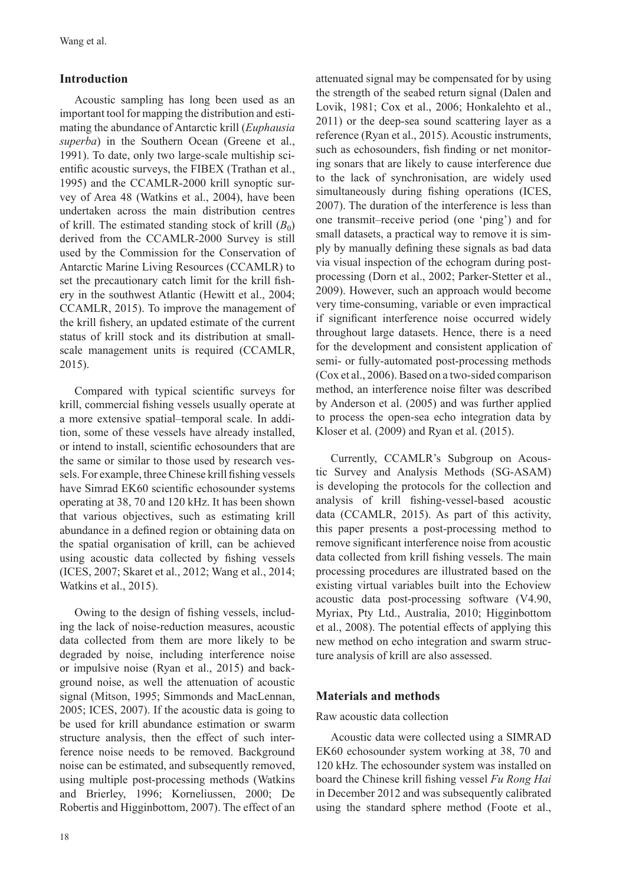# **Introduction**

Acoustic sampling has long been used as an important tool for mapping the distribution and estimating the abundance of Antarctic krill (*Euphausia superba*) in the Southern Ocean (Greene et al., 1991). To date, only two large-scale multiship scientific acoustic surveys, the FIBEX (Trathan et al., 1995) and the CCAMLR-2000 krill synoptic survey of Area 48 (Watkins et al., 2004), have been undertaken across the main distribution centres of krill. The estimated standing stock of krill  $(B_0)$ derived from the CCAMLR-2000 Survey is still used by the Commission for the Conservation of Antarctic Marine Living Resources (CCAMLR) to set the precautionary catch limit for the krill fishery in the southwest Atlantic (Hewitt et al., 2004; CCAMLR, 2015). To improve the management of the krill fishery, an updated estimate of the current status of krill stock and its distribution at smallscale management units is required (CCAMLR, 2015).

Compared with typical scientific surveys for krill, commercial fishing vessels usually operate at a more extensive spatial–temporal scale. In addition, some of these vessels have already installed, or intend to install, scientific echosounders that are the same or similar to those used by research vessels. For example, three Chinese krill fishing vessels have Simrad EK60 scientific echosounder systems operating at 38, 70 and 120 kHz. It has been shown that various objectives, such as estimating krill abundance in a defined region or obtaining data on the spatial organisation of krill, can be achieved using acoustic data collected by fishing vessels (ICES, 2007; Skaret et al., 2012; Wang et al., 2014; Watkins et al., 2015).

Owing to the design of fishing vessels, including the lack of noise-reduction measures, acoustic data collected from them are more likely to be degraded by noise, including interference noise or impulsive noise (Ryan et al., 2015) and background noise, as well the attenuation of acoustic signal (Mitson, 1995; Simmonds and MacLennan, 2005; ICES, 2007). If the acoustic data is going to be used for krill abundance estimation or swarm structure analysis, then the effect of such interference noise needs to be removed. Background noise can be estimated, and subsequently removed, using multiple post-processing methods (Watkins and Brierley, 1996; Korneliussen, 2000; De Robertis and Higginbottom, 2007). The effect of an

attenuated signal may be compensated for by using the strength of the seabed return signal (Dalen and Lovik, 1981; Cox et al., 2006; Honkalehto et al., 2011) or the deep-sea sound scattering layer as a reference (Ryan et al., 2015). Acoustic instruments, such as echosounders, fish finding or net monitoring sonars that are likely to cause interference due to the lack of synchronisation, are widely used simultaneously during fishing operations (ICES, 2007). The duration of the interference is less than one transmit–receive period (one 'ping') and for small datasets, a practical way to remove it is simply by manually defining these signals as bad data via visual inspection of the echogram during postprocessing (Dorn et al., 2002; Parker-Stetter et al., 2009). However, such an approach would become very time-consuming, variable or even impractical if significant interference noise occurred widely throughout large datasets. Hence, there is a need for the development and consistent application of semi- or fully-automated post-processing methods (Cox et al., 2006). Based on a two-sided comparison method, an interference noise filter was described by Anderson et al. (2005) and was further applied to process the open-sea echo integration data by Kloser et al. (2009) and Ryan et al. (2015).

Currently, CCAMLR's Subgroup on Acoustic Survey and Analysis Methods (SG-ASAM) is developing the protocols for the collection and analysis of krill fishing-vessel-based acoustic data (CCAMLR, 2015). As part of this activity, this paper presents a post-processing method to remove significant interference noise from acoustic data collected from krill fishing vessels. The main processing procedures are illustrated based on the existing virtual variables built into the Echoview acoustic data post-processing software (V4.90, Myriax, Pty Ltd., Australia, 2010; Higginbottom et al., 2008). The potential effects of applying this new method on echo integration and swarm structure analysis of krill are also assessed.

## **Materials and methods**

## Raw acoustic data collection

Acoustic data were collected using a SIMRAD EK60 echosounder system working at 38, 70 and 120 kHz. The echosounder system was installed on board the Chinese krill fishing vessel *Fu Rong Hai* in December 2012 and was subsequently calibrated using the standard sphere method (Foote et al.,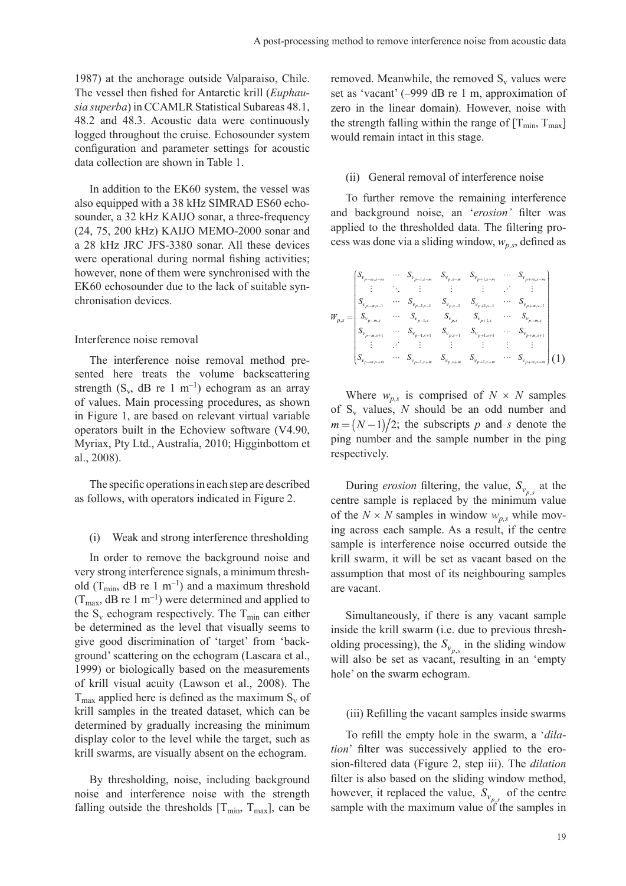1987) at the anchorage outside Valparaiso, Chile. The vessel then fished for Antarctic krill (*Euphausia superba*) in CCAMLR Statistical Subareas 48.1, 48.2 and 48.3. Acoustic data were continuously logged throughout the cruise. Echosounder system configuration and parameter settings for acoustic data collection are shown in Table 1.

In addition to the EK60 system, the vessel was also equipped with a 38 kHz SIMRAD ES60 echosounder, a 32 kHz KAIJO sonar, a three-frequency (24, 75, 200 kHz) KAIJO MEMO-2000 sonar and a 28 kHz JRC JFS-3380 sonar. All these devices were operational during normal fishing activities; however, none of them were synchronised with the EK60 echosounder due to the lack of suitable synchronisation devices.

### Interference noise removal

The interference noise removal method presented here treats the volume backscattering strength (S<sub>v</sub>, dB re 1 m<sup>-1</sup>) echogram as an array of values. Main processing procedures, as shown in Figure 1, are based on relevant virtual variable operators built in the Echoview software (V4.90, Myriax, Pty Ltd., Australia, 2010; Higginbottom et al., 2008).

The specific operations in each step are described as follows, with operators indicated in Figure 2.

#### (i) Weak and strong interference thresholding

In order to remove the background noise and very strong interference signals, a minimum threshold ( $T_{\text{min}}$ , dB re 1 m<sup>-1</sup>) and a maximum threshold  $(T_{\text{max}}, dB \text{ re } 1 \text{ m}^{-1})$  were determined and applied to the  $S_v$  echogram respectively. The  $T_{min}$  can either be determined as the level that visually seems to give good discrimination of 'target' from 'background' scattering on the echogram (Lascara et al., 1999) or biologically based on the measurements of krill visual acuity (Lawson et al., 2008). The  $T<sub>max</sub>$  applied here is defined as the maximum S<sub>v</sub> of krill samples in the treated dataset, which can be determined by gradually increasing the minimum display color to the level while the target, such as krill swarms, are visually absent on the echogram.

By thresholding, noise, including background noise and interference noise with the strength falling outside the thresholds  $[T_{min}, T_{max}]$ , can be removed. Meanwhile, the removed  $S_v$  values were set as 'vacant' (–999 dB re 1 m, approximation of zero in the linear domain). However, noise with the strength falling within the range of  $[T_{\text{min}}, T_{\text{max}}]$ would remain intact in this stage.

### (ii) General removal of interference noise

To further remove the remaining interference and background noise, an '*erosion'* filter was applied to the thresholded data. The filtering process was done via a sliding window, *wp,s*, defined as

$$
W_{p,s} = \begin{pmatrix} S_{v_{p-m,s-m}} & \cdots & S_{v_{p-1,s-m}} & S_{v_{p,s-m}} & S_{v_{p+1,s-m}} & \cdots & S_{v_{p+m,s-m}} \\ \vdots & \ddots & \vdots & \vdots & \vdots & \vdots & \vdots \\ S_{v_{p-m,s-1}} & \cdots & S_{v_{p-1,s-1}} & S_{v_{p,s-1}} & S_{v_{p+1,s-1}} & \cdots & S_{v_{p+m,s-1}} \\ S_{v_{p-m,s}} & \cdots & S_{v_{p-1,s}} & S_{v_{p,s}} & S_{v_{p+1,s}} & \cdots & S_{v_{p+m,s}} \\ S_{v_{p-m,s+1}} & \cdots & S_{v_{p-1,s+1}} & S_{v_{p,s+1}} & S_{v_{p+1,s+1}} & \cdots & S_{v_{p+m,s+1}} \\ \vdots & \vdots & \vdots & \vdots & \vdots & \vdots \\ S_{v_{p-m,s+m}} & \cdots & S_{v_{p-1,s+m}} & S_{v_{p,s+m}} & S_{v_{p+1,s+m}} & \cdots & S_{v_{p+m,s+m}} \end{pmatrix} (1)
$$

Where  $w_{p,s}$  is comprised of  $N \times N$  samples of  $S_v$  values, N should be an odd number and  $m = (N-1)/2$ ; the subscripts p and *s* denote the ping number and the sample number in the ping respectively.

During *erosion* filtering, the value,  $S_{v_{n,s}}$  at the centre sample is replaced by the minimum value of the  $N \times N$  samples in window  $w_{n,s}$  while moving across each sample. As a result, if the centre sample is interference noise occurred outside the krill swarm, it will be set as vacant based on the assumption that most of its neighbouring samples are vacant.

Simultaneously, if there is any vacant sample inside the krill swarm (i.e. due to previous thresholding processing), the  $S_{v_{p,s}}$  in the sliding window will also be set as vacant, resulting in an 'empty hole' on the swarm echogram.

#### (iii) Refilling the vacant samples inside swarms

To refill the empty hole in the swarm, a '*dilation*' filter was successively applied to the erosion-filtered data (Figure 2, step iii). The *dilation* filter is also based on the sliding window method, however, it replaced the value,  $S_{v_{n}}$  of the centre sample with the maximum value of the samples in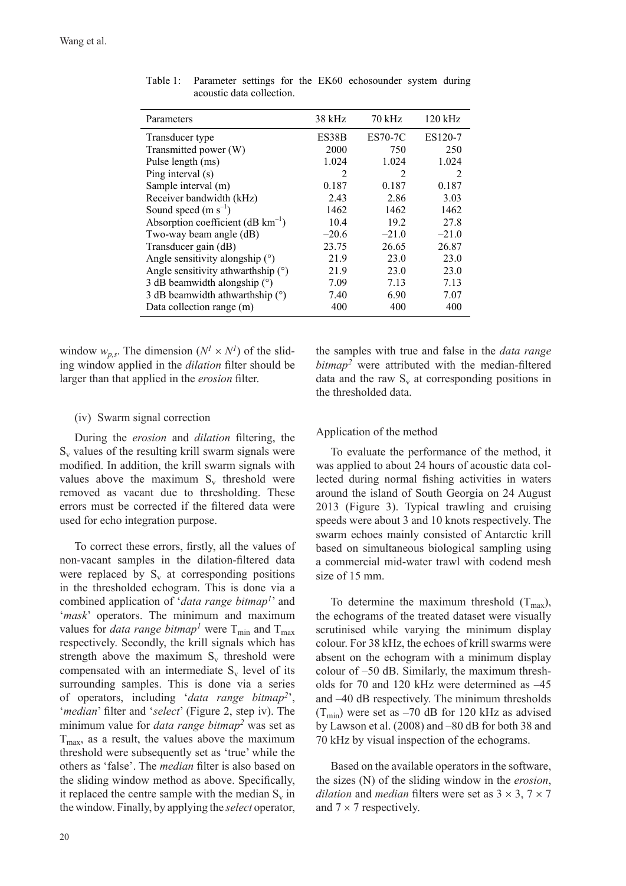| Parameters                                      | 38 kHz  | 70 kHz         | $120$ kHz |
|-------------------------------------------------|---------|----------------|-----------|
| Transducer type                                 | ES38B   | <b>ES70-7C</b> | ES120-7   |
| Transmitted power (W)                           | 2000    | 750            | 250       |
| Pulse length (ms)                               | 1.024   | 1.024          | 1.024     |
| Ping interval (s)                               | 2       | 2              | 2         |
| Sample interval (m)                             | 0.187   | 0.187          | 0.187     |
| Receiver bandwidth (kHz)                        | 2.43    | 2.86           | 3.03      |
| Sound speed $(m s^{-1})$                        | 1462    | 1462           | 1462      |
| Absorption coefficient ( $dB \text{ km}^{-1}$ ) | 10.4    | 19.2           | 27.8      |
| Two-way beam angle (dB)                         | $-20.6$ | $-21.0$        | $-21.0$   |
| Transducer gain (dB)                            | 23.75   | 26.65          | 26.87     |
| Angle sensitivity alongship $(°)$               | 21.9    | 23.0           | 23.0      |
| Angle sensitivity athwarthship $(°)$            | 21.9    | 23.0           | 23.0      |
| 3 dB beamwidth alongship $(°)$                  | 7.09    | 7.13           | 7.13      |
| 3 dB beamwidth athwarthship $(°)$               | 7.40    | 6.90           | 7.07      |
| Data collection range (m)                       | 400     | 400            | 400       |
|                                                 |         |                |           |

Table 1: Parameter settings for the EK60 echosounder system during acoustic data collection.

window  $w_{p,s}$ . The dimension  $(N^l \times N^l)$  of the sliding window applied in the *dilation* filter should be larger than that applied in the *erosion* filter.

## (iv) Swarm signal correction

During the *erosion* and *dilation* filtering, the  $S<sub>v</sub>$  values of the resulting krill swarm signals were modified. In addition, the krill swarm signals with values above the maximum  $S_v$  threshold were removed as vacant due to thresholding. These errors must be corrected if the filtered data were used for echo integration purpose.

To correct these errors, firstly, all the values of non-vacant samples in the dilation-filtered data were replaced by  $S_v$  at corresponding positions in the thresholded echogram. This is done via a combined application of '*data range bitmap1*' and '*mask*' operators. The minimum and maximum values for *data range bitmap<sup>1</sup>* were  $T_{min}$  and  $T_{max}$ respectively. Secondly, the krill signals which has strength above the maximum  $S_v$  threshold were compensated with an intermediate  $S_v$  level of its surrounding samples. This is done via a series of operators, including '*data range bitmap2*', '*median*' filter and '*select*' (Figure 2, step iv). The minimum value for *data range bitmap2* was set as  $T<sub>max</sub>$ , as a result, the values above the maximum threshold were subsequently set as 'true' while the others as 'false'. The *median* filter is also based on the sliding window method as above. Specifically, it replaced the centre sample with the median  $S_v$  in the window. Finally, by applying the *select* operator,

the samples with true and false in the *data range bitmap*<sup>2</sup> were attributed with the median-filtered data and the raw  $S_v$  at corresponding positions in the thresholded data.

## Application of the method

To evaluate the performance of the method, it was applied to about 24 hours of acoustic data collected during normal fishing activities in waters around the island of South Georgia on 24 August 2013 (Figure 3). Typical trawling and cruising speeds were about 3 and 10 knots respectively. The swarm echoes mainly consisted of Antarctic krill based on simultaneous biological sampling using a commercial mid-water trawl with codend mesh size of 15 mm.

To determine the maximum threshold  $(T_{max})$ , the echograms of the treated dataset were visually scrutinised while varying the minimum display colour. For 38 kHz, the echoes of krill swarms were absent on the echogram with a minimum display colour of –50 dB. Similarly, the maximum thresholds for 70 and 120 kHz were determined as –45 and –40 dB respectively. The minimum thresholds  $(T_{min})$  were set as -70 dB for 120 kHz as advised by Lawson et al. (2008) and –80 dB for both 38 and 70 kHz by visual inspection of the echograms.

Based on the available operators in the software, the sizes (N) of the sliding window in the *erosion*, *dilation* and *median* filters were set as  $3 \times 3$ ,  $7 \times 7$ and  $7 \times 7$  respectively.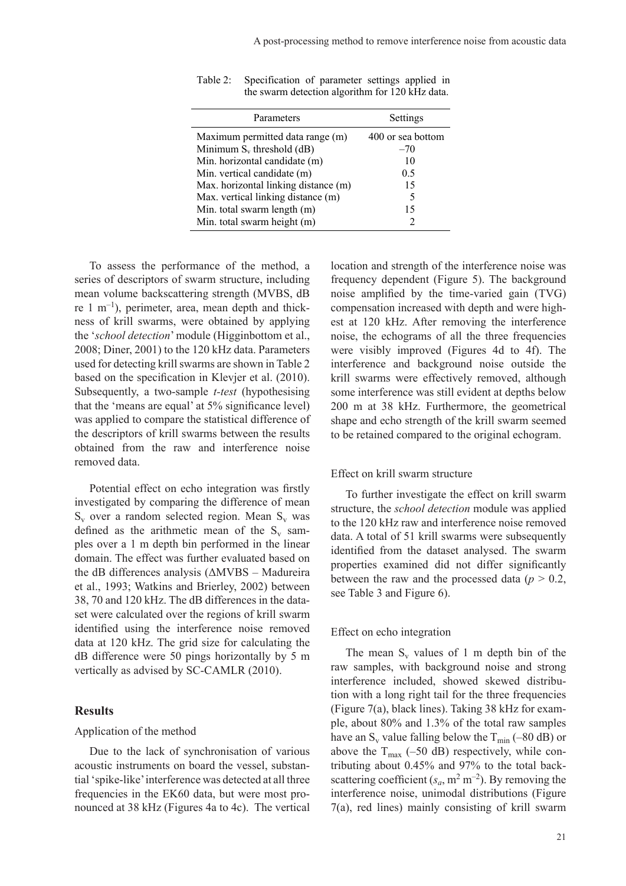| Parameters                                                                 | Settings                   |
|----------------------------------------------------------------------------|----------------------------|
| Maximum permitted data range (m)<br>Minimum $S_v$ threshold (dB)           | 400 or sea bottom<br>$-70$ |
| Min. horizontal candidate (m)                                              | 10                         |
| Min. vertical candidate (m)                                                | 0.5                        |
| Max. horizontal linking distance (m)<br>Max. vertical linking distance (m) | 15<br>5                    |
| Min. total swarm length (m)                                                | 15                         |
| Min. total swarm height (m)                                                |                            |

Table 2: Specification of parameter settings applied in the swarm detection algorithm for 120 kHz data.

To assess the performance of the method, a series of descriptors of swarm structure, including mean volume backscattering strength (MVBS, dB re  $1 \text{ m}^{-1}$ ), perimeter, area, mean depth and thickness of krill swarms, were obtained by applying the '*school detection*' module (Higginbottom et al., 2008; Diner, 2001) to the 120 kHz data. Parameters used for detecting krill swarms are shown in Table 2 based on the specification in Klevjer et al. (2010). Subsequently, a two-sample *t-test* (hypothesising that the 'means are equal' at 5% significance level) was applied to compare the statistical difference of the descriptors of krill swarms between the results obtained from the raw and interference noise removed data.

Potential effect on echo integration was firstly investigated by comparing the difference of mean  $S_v$  over a random selected region. Mean  $S_v$  was defined as the arithmetic mean of the  $S_v$  samples over a 1 m depth bin performed in the linear domain. The effect was further evaluated based on the dB differences analysis (ΔMVBS – Madureira et al., 1993; Watkins and Brierley, 2002) between 38, 70 and 120 kHz. The dB differences in the dataset were calculated over the regions of krill swarm identified using the interference noise removed data at 120 kHz. The grid size for calculating the dB difference were 50 pings horizontally by 5 m vertically as advised by SC-CAMLR (2010).

## **Results**

#### Application of the method

Due to the lack of synchronisation of various acoustic instruments on board the vessel, substantial 'spike-like' interference was detected at all three frequencies in the EK60 data, but were most pronounced at 38 kHz (Figures 4a to 4c). The vertical

location and strength of the interference noise was frequency dependent (Figure 5). The background noise amplified by the time-varied gain (TVG) compensation increased with depth and were highest at 120 kHz. After removing the interference noise, the echograms of all the three frequencies were visibly improved (Figures 4d to 4f). The interference and background noise outside the krill swarms were effectively removed, although some interference was still evident at depths below 200 m at 38 kHz. Furthermore, the geometrical shape and echo strength of the krill swarm seemed to be retained compared to the original echogram.

#### Effect on krill swarm structure

To further investigate the effect on krill swarm structure, the *school detection* module was applied to the 120 kHz raw and interference noise removed data. A total of 51 krill swarms were subsequently identified from the dataset analysed. The swarm properties examined did not differ significantly between the raw and the processed data ( $p > 0.2$ , see Table 3 and Figure 6).

## Effect on echo integration

The mean  $S_v$  values of 1 m depth bin of the raw samples, with background noise and strong interference included, showed skewed distribution with a long right tail for the three frequencies (Figure 7(a), black lines). Taking 38 kHz for example, about 80% and 1.3% of the total raw samples have an  $S_v$  value falling below the  $T_{min}$  (–80 dB) or above the  $T_{\text{max}}$  (–50 dB) respectively, while contributing about 0.45% and 97% to the total backscattering coefficient  $(s_a, m^2 m^{-2})$ . By removing the interference noise, unimodal distributions (Figure 7(a), red lines) mainly consisting of krill swarm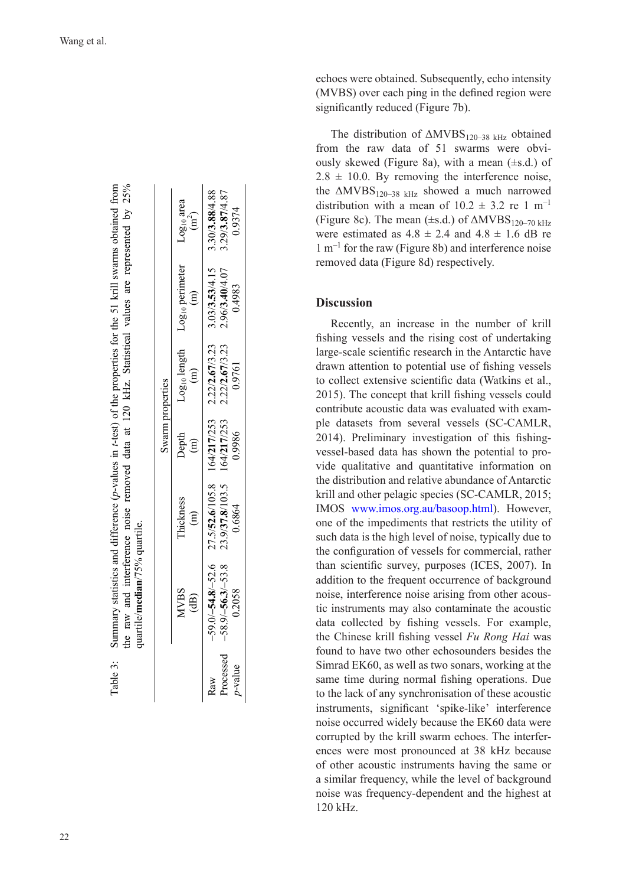|                                     | the raw and interference noise removed data at 120 kHz. Statistical values are represented by 25%<br>quartile/ <b>median</b> /75% quartile. |                                                                                                                  |                        |                                                                        |                          |                                  |                          |
|-------------------------------------|---------------------------------------------------------------------------------------------------------------------------------------------|------------------------------------------------------------------------------------------------------------------|------------------------|------------------------------------------------------------------------|--------------------------|----------------------------------|--------------------------|
|                                     |                                                                                                                                             |                                                                                                                  | Swarm properties       |                                                                        |                          |                                  |                          |
|                                     | <b>NVBS</b><br>$\widehat{\mathrm{dB}}$                                                                                                      | Thickness<br>$\widehat{E}$                                                                                       | Depth<br>$\widehat{E}$ | Log <sub>10</sub> length Log <sub>10</sub> perimeter<br>$\binom{m}{n}$ | $\widehat{E}$            | Log <sub>10</sub> area<br>$(m2)$ |                          |
| Processed<br><i>p</i> -value<br>Raw | $-58.9/-56.3/-53.8$ 23.9/37.8/103.5 164/217/253<br>0.2058                                                                                   | $-59.0/-54.8/-52.6$ $27.5/52.6/105.8$ $164/217/253$ $2.22/2.67/3.23$ $3.03/3.53/4.15$ $3.30/3.88/4.88$<br>0.6864 | 0.9986                 | 2.22/2.67/3.23<br>0.9761                                               | 2.96/3.40/4.07<br>0.4983 |                                  | 3.29/3.87/4.87<br>0.9374 |

Table 3: Summary statistics and difference (*p*-values in *t*-test) of the properties for the 51 krill swarms obtained from

Table 3:

Summary statistics and difference (p-values in t-test) of the properties for the 51 krill swarms obtained from

echoes were obtained. Subsequently, echo intensity (MVBS) over each ping in the defined region were significantly reduced (Figure 7b).

The distribution of  $\triangle MVBS_{120-38 \text{ kHz}}$  obtained from the raw data of 51 swarms were obvi ously skewed (Figure 8a), with a mean  $(\pm s.d.)$  of  $2.8 \pm 10.0$ . By removing the interference noise, the  $\Delta MVBS_{120-38 \text{ kHz}}$  showed a much narrowed distribution with a mean of  $10.2 \pm 3.2$  re 1 m<sup>-1</sup> (Figure 8c). The mean ( $\pm$ s.d.) of  $\triangle MVBS_{120-70 \text{ kHz}}$ were estimated as  $4.8 \pm 2.4$  and  $4.8 \pm 1.6$  dB re  $1 \text{ m}^{-1}$  for the raw (Figure 8b) and interference noise removed data (Figure 8d) respectively.

# **Discussion**

Recently, an increase in the number of krill fishing vessels and the rising cost of undertaking large-scale scientific research in the Antarctic have drawn attention to potential use of fishing vessels to collect extensive scientific data (Watkins et al., 2015). The concept that krill fishing vessels could contribute acoustic data was evaluated with exam ple datasets from several vessels (SC-CAMLR, 2014). Preliminary investigation of this fishingvessel-based data has shown the potential to provide qualitative and quantitative information on the distribution and relative abundance of Antarctic krill and other pelagic species (SC-CAMLR, 2015; IMOS www.imos.org.au/basoop.html). However, one of the impediments that restricts the utility of such data is the high level of noise, typically due to the configuration of vessels for commercial, rather than scientific survey, purposes (ICES, 2007). In addition to the frequent occurrence of background noise, interference noise arising from other acous tic instruments may also contaminate the acoustic data collected by fishing vessels. For example, the Chinese krill fishing vessel *Fu Rong Hai* was found to have two other echosounders besides the Simrad EK60, as well as two sonars, working at the same time during normal fishing operations. Due to the lack of any synchronisation of these acoustic instruments, significant 'spike-like' interference noise occurred widely because the EK60 data were corrupted by the krill swarm echoes. The interfer ences were most pronounced at 38 kHz because of other acoustic instruments having the same or a similar frequency, while the level of background noise was frequency-dependent and the highest at 120 kHz.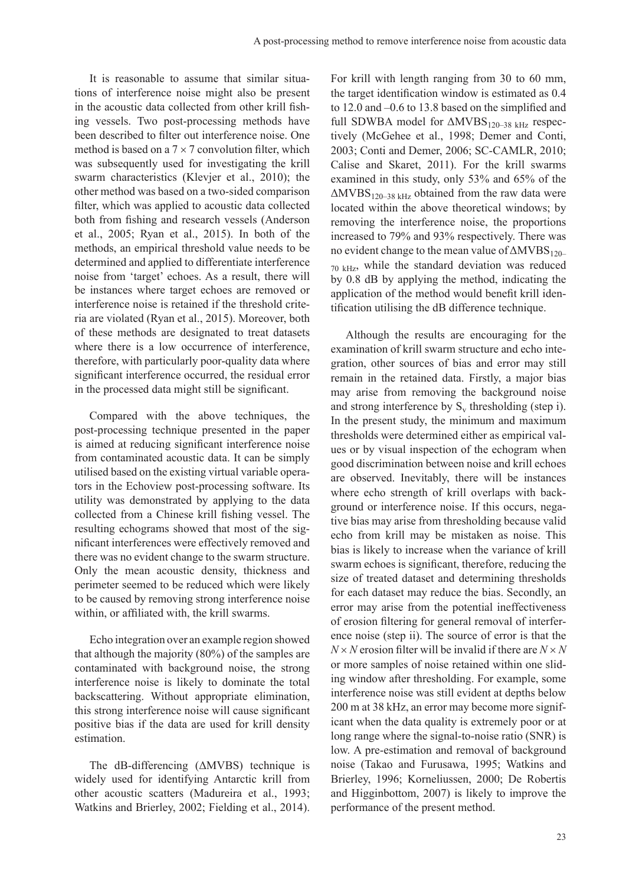It is reasonable to assume that similar situations of interference noise might also be present in the acoustic data collected from other krill fishing vessels. Two post-processing methods have been described to filter out interference noise. One method is based on a  $7 \times 7$  convolution filter, which was subsequently used for investigating the krill swarm characteristics (Klevjer et al., 2010); the other method was based on a two-sided comparison filter, which was applied to acoustic data collected both from fishing and research vessels (Anderson et al., 2005; Ryan et al., 2015). In both of the methods, an empirical threshold value needs to be determined and applied to differentiate interference noise from 'target' echoes. As a result, there will be instances where target echoes are removed or interference noise is retained if the threshold criteria are violated (Ryan et al., 2015). Moreover, both of these methods are designated to treat datasets where there is a low occurrence of interference, therefore, with particularly poor-quality data where significant interference occurred, the residual error in the processed data might still be significant.

Compared with the above techniques, the post-processing technique presented in the paper is aimed at reducing significant interference noise from contaminated acoustic data. It can be simply utilised based on the existing virtual variable operators in the Echoview post-processing software. Its utility was demonstrated by applying to the data collected from a Chinese krill fishing vessel. The resulting echograms showed that most of the significant interferences were effectively removed and there was no evident change to the swarm structure. Only the mean acoustic density, thickness and perimeter seemed to be reduced which were likely to be caused by removing strong interference noise within, or affiliated with, the krill swarms.

Echo integration over an example region showed that although the majority (80%) of the samples are contaminated with background noise, the strong interference noise is likely to dominate the total backscattering. Without appropriate elimination, this strong interference noise will cause significant positive bias if the data are used for krill density estimation.

The dB-differencing (ΔMVBS) technique is widely used for identifying Antarctic krill from other acoustic scatters (Madureira et al., 1993; Watkins and Brierley, 2002; Fielding et al., 2014).

For krill with length ranging from 30 to 60 mm, the target identification window is estimated as 0.4 to 12.0 and –0.6 to 13.8 based on the simplified and full SDWBA model for  $\triangle MVBS_{120-38 \text{ kHz}}$  respectively (McGehee et al., 1998; Demer and Conti, 2003; Conti and Demer, 2006; SC-CAMLR, 2010; Calise and Skaret, 2011). For the krill swarms examined in this study, only 53% and 65% of the  $\Delta MVBS_{120-38\text{ kHz}}$  obtained from the raw data were located within the above theoretical windows; by removing the interference noise, the proportions increased to 79% and 93% respectively. There was no evident change to the mean value of  $\triangle MVBS_{120-}$  $70 \text{ kHz}$ , while the standard deviation was reduced by 0.8 dB by applying the method, indicating the application of the method would benefit krill identification utilising the dB difference technique.

Although the results are encouraging for the examination of krill swarm structure and echo integration, other sources of bias and error may still remain in the retained data. Firstly, a major bias may arise from removing the background noise and strong interference by  $S_v$  thresholding (step i). In the present study, the minimum and maximum thresholds were determined either as empirical values or by visual inspection of the echogram when good discrimination between noise and krill echoes are observed. Inevitably, there will be instances where echo strength of krill overlaps with background or interference noise. If this occurs, negative bias may arise from thresholding because valid echo from krill may be mistaken as noise. This bias is likely to increase when the variance of krill swarm echoes is significant, therefore, reducing the size of treated dataset and determining thresholds for each dataset may reduce the bias. Secondly, an error may arise from the potential ineffectiveness of erosion filtering for general removal of interference noise (step ii). The source of error is that the  $N \times N$  erosion filter will be invalid if there are  $N \times N$ or more samples of noise retained within one sliding window after thresholding. For example, some interference noise was still evident at depths below 200 m at 38 kHz, an error may become more significant when the data quality is extremely poor or at long range where the signal-to-noise ratio (SNR) is low. A pre-estimation and removal of background noise (Takao and Furusawa, 1995; Watkins and Brierley, 1996; Korneliussen, 2000; De Robertis and Higginbottom, 2007) is likely to improve the performance of the present method.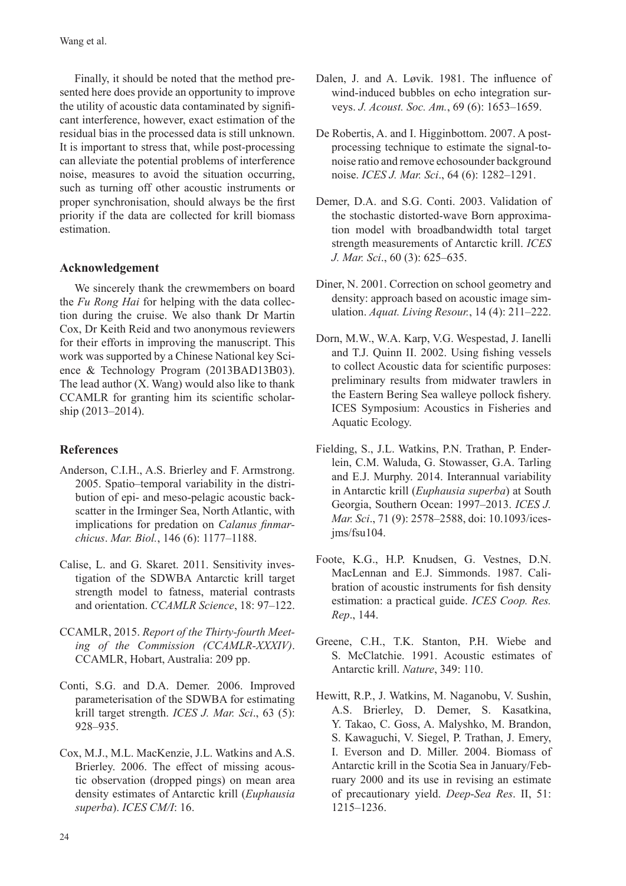Finally, it should be noted that the method presented here does provide an opportunity to improve the utility of acoustic data contaminated by significant interference, however, exact estimation of the residual bias in the processed data is still unknown. It is important to stress that, while post-processing can alleviate the potential problems of interference noise, measures to avoid the situation occurring, such as turning off other acoustic instruments or proper synchronisation, should always be the first priority if the data are collected for krill biomass estimation.

## **Acknowledgement**

We sincerely thank the crewmembers on board the *Fu Rong Hai* for helping with the data collection during the cruise. We also thank Dr Martin Cox, Dr Keith Reid and two anonymous reviewers for their efforts in improving the manuscript. This work was supported by a Chinese National key Science & Technology Program (2013BAD13B03). The lead author (X. Wang) would also like to thank CCAMLR for granting him its scientific scholarship (2013–2014).

## **References**

- Anderson, C.I.H., A.S. Brierley and F. Armstrong. 2005. Spatio–temporal variability in the distribution of epi- and meso-pelagic acoustic backscatter in the Irminger Sea, North Atlantic, with implications for predation on *Calanus finmarchicus*. *Mar. Biol.*, 146 (6): 1177–1188.
- Calise, L. and G. Skaret. 2011. Sensitivity investigation of the SDWBA Antarctic krill target strength model to fatness, material contrasts and orientation. *CCAMLR Science*, 18: 97–122.
- CCAMLR, 2015. *Report of the Thirty-fourth Meeting of the Commission (CCAMLR-XXXIV)*. CCAMLR, Hobart, Australia: 209 pp.
- Conti, S.G. and D.A. Demer. 2006. Improved parameterisation of the SDWBA for estimating krill target strength. *ICES J. Mar. Sci*., 63 (5): 928–935.
- Cox, M.J., M.L. MacKenzie, J.L. Watkins and A.S. Brierley. 2006. The effect of missing acoustic observation (dropped pings) on mean area density estimates of Antarctic krill (*Euphausia superba*). *ICES CM/I*: 16.
- Dalen, J. and A. Løvik. 1981. The influence of wind-induced bubbles on echo integration surveys. *J. Acoust. Soc. Am.*, 69 (6): 1653–1659.
- De Robertis, A. and I. Higginbottom. 2007. A postprocessing technique to estimate the signal-tonoise ratio and remove echosounder background noise. *ICES J. Mar. Sci*., 64 (6): 1282–1291.
- Demer, D.A. and S.G. Conti. 2003. Validation of the stochastic distorted-wave Born approximation model with broadbandwidth total target strength measurements of Antarctic krill. *ICES J. Mar. Sci*., 60 (3): 625–635.
- Diner, N. 2001. Correction on school geometry and density: approach based on acoustic image simulation. *Aquat. Living Resour.*, 14 (4): 211–222.
- Dorn, M.W., W.A. Karp, V.G. Wespestad, J. Ianelli and T.J. Quinn II. 2002. Using fishing vessels to collect Acoustic data for scientific purposes: preliminary results from midwater trawlers in the Eastern Bering Sea walleye pollock fishery. ICES Symposium: Acoustics in Fisheries and Aquatic Ecology.
- Fielding, S., J.L. Watkins, P.N. Trathan, P. Enderlein, C.M. Waluda, G. Stowasser, G.A. Tarling and E.J. Murphy. 2014. Interannual variability in Antarctic krill (*Euphausia superba*) at South Georgia, Southern Ocean: 1997–2013. *ICES J. Mar. Sci*., 71 (9): 2578–2588, doi: 10.1093/icesjms/fsu104.
- Foote, K.G., H.P. Knudsen, G. Vestnes, D.N. MacLennan and E.J. Simmonds. 1987. Calibration of acoustic instruments for fish density estimation: a practical guide. *ICES Coop. Res. Rep*., 144.
- Greene, C.H., T.K. Stanton, P.H. Wiebe and S. McClatchie. 1991. Acoustic estimates of Antarctic krill. *Nature*, 349: 110.
- Hewitt, R.P., J. Watkins, M. Naganobu, V. Sushin, A.S. Brierley, D. Demer, S. Kasatkina, Y. Takao, C. Goss, A. Malyshko, M. Brandon, S. Kawaguchi, V. Siegel, P. Trathan, J. Emery, I. Everson and D. Miller. 2004. Biomass of Antarctic krill in the Scotia Sea in January/February 2000 and its use in revising an estimate of precautionary yield. *Deep-Sea Res*. II, 51: 1215–1236.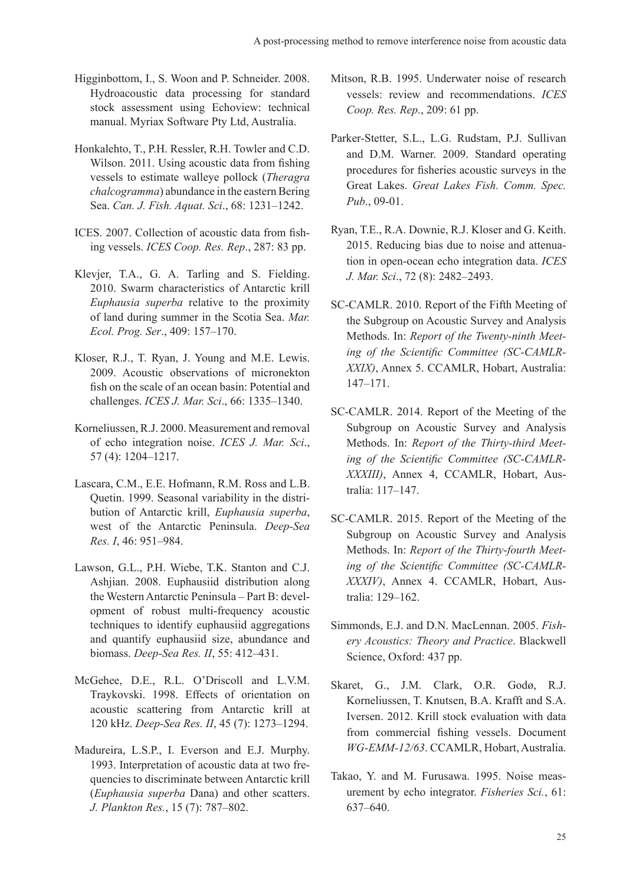- Higginbottom, I., S. Woon and P. Schneider. 2008. Hydroacoustic data processing for standard stock assessment using Echoview: technical manual. Myriax Software Pty Ltd, Australia.
- Honkalehto, T., P.H. Ressler, R.H. Towler and C.D. Wilson. 2011. Using acoustic data from fishing vessels to estimate walleye pollock (*Theragra chalcogramma*) abundance in the eastern Bering Sea. *Can. J. Fish. Aquat. Sci*., 68: 1231–1242.
- ICES. 2007. Collection of acoustic data from fishing vessels. *ICES Coop. Res. Rep*., 287: 83 pp.
- Klevjer, T.A., G. A. Tarling and S. Fielding. 2010. Swarm characteristics of Antarctic krill *Euphausia superba* relative to the proximity of land during summer in the Scotia Sea. *Mar. Ecol. Prog. Ser*., 409: 157–170.
- Kloser, R.J., T. Ryan, J. Young and M.E. Lewis. 2009. Acoustic observations of micronekton fish on the scale of an ocean basin: Potential and challenges. *ICES J. Mar. Sci*., 66: 1335–1340.
- Korneliussen, R.J. 2000. Measurement and removal of echo integration noise. *ICES J. Mar. Sci*., 57 (4): 1204–1217.
- Lascara, C.M., E.E. Hofmann, R.M. Ross and L.B. Quetin. 1999. Seasonal variability in the distribution of Antarctic krill, *Euphausia superba*, west of the Antarctic Peninsula. *Deep-Sea Res. I*, 46: 951–984.
- Lawson, G.L., P.H. Wiebe, T.K. Stanton and C.J. Ashjian. 2008. Euphausiid distribution along the Western Antarctic Peninsula – Part B: development of robust multi-frequency acoustic techniques to identify euphausiid aggregations and quantify euphausiid size, abundance and biomass. *Deep-Sea Res. II*, 55: 412–431.
- McGehee, D.E., R.L. O'Driscoll and L.V.M. Traykovski. 1998. Effects of orientation on acoustic scattering from Antarctic krill at 120 kHz. *Deep-Sea Res. II*, 45 (7): 1273–1294.
- Madureira, L.S.P., I. Everson and E.J. Murphy. 1993. Interpretation of acoustic data at two frequencies to discriminate between Antarctic krill (*Euphausia superba* Dana) and other scatters. *J. Plankton Res.*, 15 (7): 787–802.
- Mitson, R.B. 1995. Underwater noise of research vessels: review and recommendations. *ICES Coop. Res. Rep*., 209: 61 pp.
- Parker-Stetter, S.L., L.G. Rudstam, P.J. Sullivan and D.M. Warner. 2009. Standard operating procedures for fisheries acoustic surveys in the Great Lakes. *Great Lakes Fish. Comm. Spec. Pub*., 09-01.
- Ryan, T.E., R.A. Downie, R.J. Kloser and G. Keith. 2015. Reducing bias due to noise and attenuation in open-ocean echo integration data. *ICES J. Mar. Sci*., 72 (8): 2482–2493.
- SC-CAMLR. 2010. Report of the Fifth Meeting of the Subgroup on Acoustic Survey and Analysis Methods. In: *Report of the Twenty-ninth Meeting of the Scientific Committee (SC-CAMLR-XXIX)*, Annex 5. CCAMLR, Hobart, Australia: 147–171.
- SC-CAMLR. 2014. Report of the Meeting of the Subgroup on Acoustic Survey and Analysis Methods. In: *Report of the Thirty-third Meeting of the Scientific Committee (SC-CAMLR-XXXIII)*, Annex 4, CCAMLR, Hobart, Australia: 117–147.
- SC-CAMLR. 2015. Report of the Meeting of the Subgroup on Acoustic Survey and Analysis Methods. In: *Report of the Thirty-fourth Meeting of the Scientific Committee (SC-CAMLR-XXXIV)*, Annex 4. CCAMLR, Hobart, Australia: 129–162.
- Simmonds, E.J. and D.N. MacLennan. 2005. *Fishery Acoustics: Theory and Practice*. Blackwell Science, Oxford: 437 pp.
- Skaret, G., J.M. Clark, O.R. Godø, R.J. Korneliussen, T. Knutsen, B.A. Krafft and S.A. Iversen. 2012. Krill stock evaluation with data from commercial fishing vessels. Document *WG-EMM-12/63*. CCAMLR, Hobart, Australia.
- Takao, Y. and M. Furusawa. 1995. Noise measurement by echo integrator. *Fisheries Sci.*, 61: 637–640.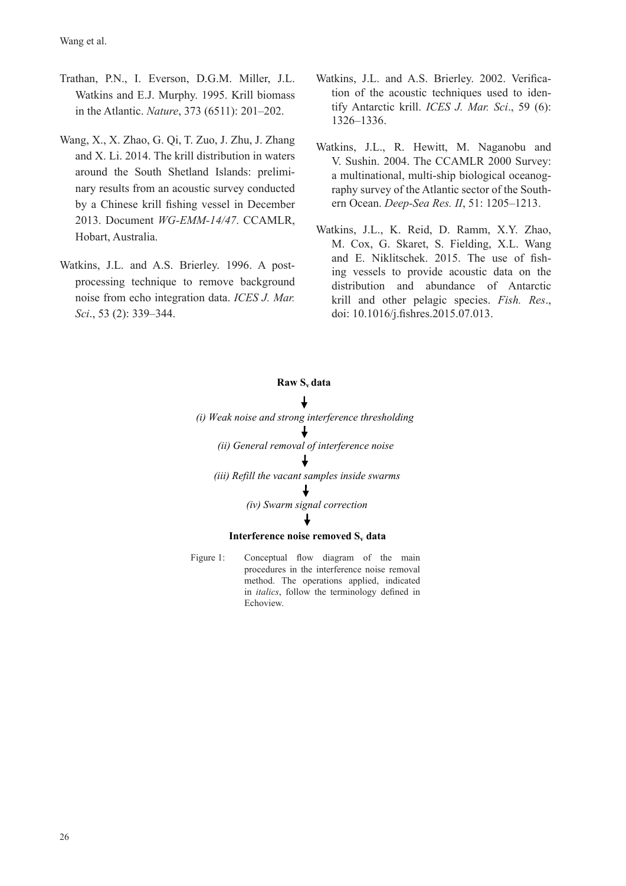- Trathan, P.N., I. Everson, D.G.M. Miller, J.L. Watkins and E.J. Murphy. 1995. Krill biomass in the Atlantic. *Nature*, 373 (6511): 201–202.
- Wang, X., X. Zhao, G. Qi, T. Zuo, J. Zhu, J. Zhang and X. Li. 2014. The krill distribution in waters around the South Shetland Islands: preliminary results from an acoustic survey conducted by a Chinese krill fishing vessel in December 2013. Document *WG-EMM-14/47*. CCAMLR, Hobart, Australia.
- Watkins, J.L. and A.S. Brierley. 1996. A postprocessing technique to remove background noise from echo integration data. *ICES J. Mar. Sci*., 53 (2): 339–344.
- Watkins, J.L. and A.S. Brierley. 2002. Verification of the acoustic techniques used to identify Antarctic krill. *ICES J. Mar. Sci*., 59 (6): 1326–1336.
- Watkins, J.L., R. Hewitt, M. Naganobu and V. Sushin. 2004. The CCAMLR 2000 Survey: a multinational, multi-ship biological oceanography survey of the Atlantic sector of the Southern Ocean. *Deep-Sea Res. II*, 51: 1205–1213.
- Watkins, J.L., K. Reid, D. Ramm, X.Y. Zhao, M. Cox, G. Skaret, S. Fielding, X.L. Wang and E. Niklitschek. 2015. The use of fishing vessels to provide acoustic data on the distribution and abundance of Antarctic krill and other pelagic species. *Fish. Res*., doi: 10.1016/j.fishres.2015.07.013.

#### **Raw Sv data**

*(i) Weak noise and strong interference thresholding (ii) General removal of interference noise (iii) Refill the vacant samples inside swarms (iv) Swarm signal correction*   $\downarrow$ 

### **Interference noise removed S<sub>v</sub> data**

Figure 1: Conceptual flow diagram of the main procedures in the interference noise removal method. The operations applied, indicated in *italics*, follow the terminology defined in Echoview.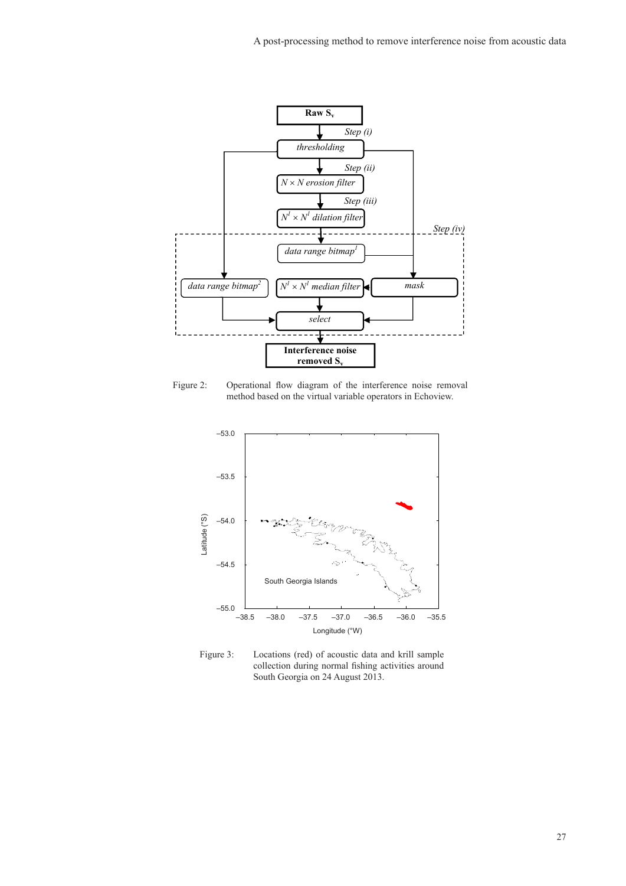

Figure 2: Operational flow diagram of the interference noise removal method based on the virtual variable operators in Echoview.



Figure 3: Locations (red) of acoustic data and krill sample collection during normal fishing activities around South Georgia on 24 August 2013.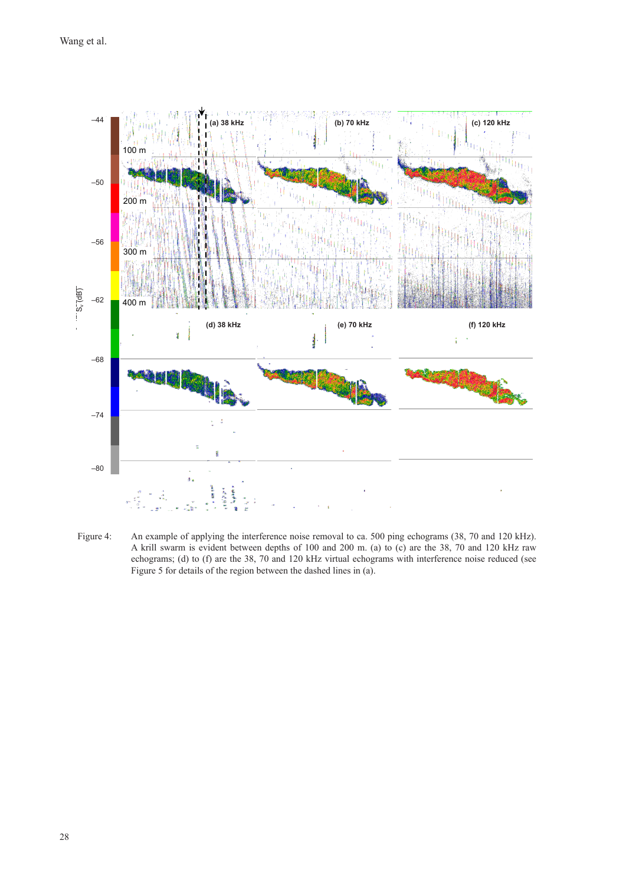

Figure 4: An example of applying the interference noise removal to ca. 500 ping echograms (38, 70 and 120 kHz). A krill swarm is evident between depths of 100 and 200 m. (a) to (c) are the 38, 70 and 120 kHz raw echograms; (d) to (f) are the 38, 70 and 120 kHz virtual echograms with interference noise reduced (see Figure 5 for details of the region between the dashed lines in (a).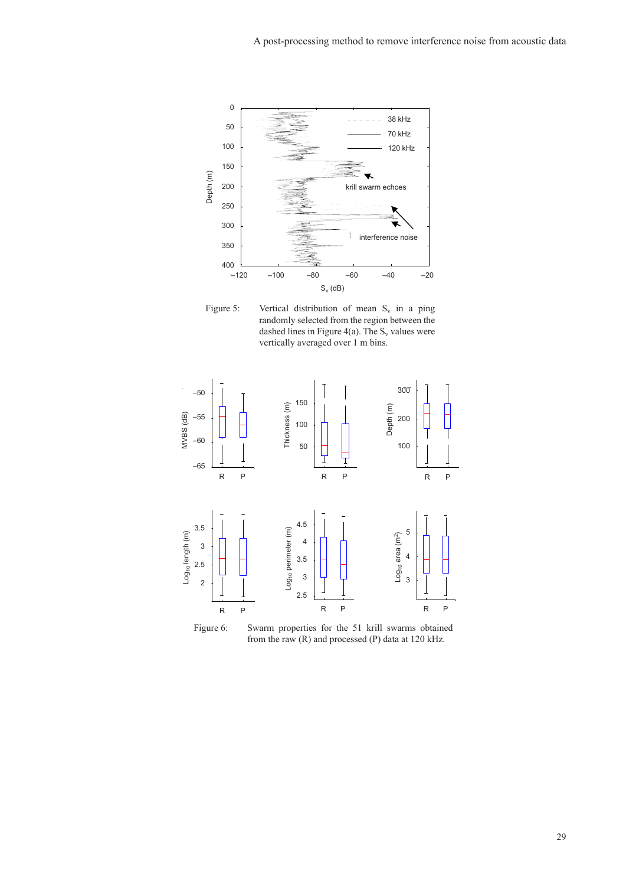

Figure 5: Vertical distribution of mean  $S_v$  in a ping randomly selected from the region between the dashed lines in Figure 4(a). The  $S_v$  values were vertically averaged over 1 m bins.



Figure 6: Swarm properties for the 51 krill swarms obtained from the raw (R) and processed (P) data at 120 kHz.